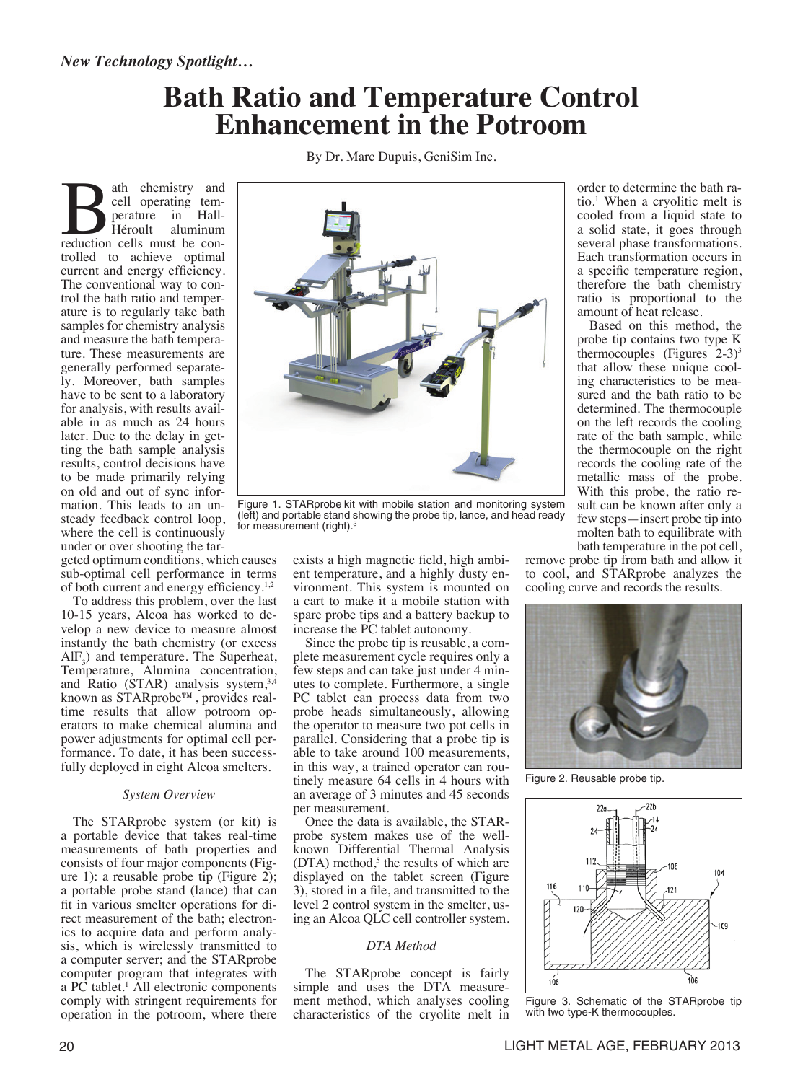# **Bath Ratio and Temperature Control Enhancement in the Potroom**

By Dr. Marc Dupuis, GeniSim Inc.

Bath chemistry and<br>
cell operating tem-<br>
perature in Hall-<br>
Héroult aluminum<br>
reduction cells must be concell operating temperature in Hall-Héroult aluminum reduction cells must be controlled to achieve optimal current and energy efficiency. The conventional way to control the bath ratio and temperature is to regularly take bath samples for chemistry analysis and measure the bath temperature. These measurements are generally performed separately. Moreover, bath samples have to be sent to a laboratory for analysis, with results available in as much as 24 hours later. Due to the delay in getting the bath sample analysis results, control decisions have to be made primarily relying on old and out of sync information. This leads to an unsteady feedback control loop, where the cell is continuously under or over shooting the tar-

geted optimum conditions, which causes sub-optimal cell performance in terms of both current and energy efficiency.1,2

To address this problem, over the last 10-15 years, Alcoa has worked to develop a new device to measure almost instantly the bath chemistry (or excess  $AIF_3$ ) and temperature. The Superheat, Temperature, Alumina concentration, and Ratio (STAR) analysis system,<sup>3,4</sup> known as STARprobe™, provides realtime results that allow potroom operators to make chemical alumina and power adjustments for optimal cell performance. To date, it has been successfully deployed in eight Alcoa smelters.

### *System Overview*

The STARprobe system (or kit) is a portable device that takes real-time measurements of bath properties and consists of four major components (Figure 1): a reusable probe tip (Figure 2); a portable probe stand (lance) that can fit in various smelter operations for direct measurement of the bath; electronics to acquire data and perform analysis, which is wirelessly transmitted to a computer server; and the STARprobe computer program that integrates with a PC tablet.<sup>1</sup> All electronic components comply with stringent requirements for operation in the potroom, where there



Figure 1. STARprobe kit with mobile station and monitoring system (left) and portable stand showing the probe tip, lance, and head ready for measurement (right).<sup>3</sup>

exists a high magnetic field, high ambient temperature, and a highly dusty environment. This system is mounted on a cart to make it a mobile station with spare probe tips and a battery backup to increase the PC tablet autonomy.

Since the probe tip is reusable, a complete measurement cycle requires only a few steps and can take just under 4 minutes to complete. Furthermore, a single PC tablet can process data from two probe heads simultaneously, allowing the operator to measure two pot cells in parallel. Considering that a probe tip is able to take around 100 measurements, in this way, a trained operator can routinely measure 64 cells in 4 hours with an average of 3 minutes and 45 seconds per measurement.

Once the data is available, the STARprobe system makes use of the wellknown Differential Thermal Analysis  $(DTA)$  method,<sup>5</sup> the results of which are displayed on the tablet screen (Figure 3), stored in a file, and transmitted to the level 2 control system in the smelter, using an Alcoa QLC cell controller system.

## *DTA Method*

The STARprobe concept is fairly simple and uses the DTA measurement method, which analyses cooling characteristics of the cryolite melt in

order to determine the bath ratio.<sup>1</sup> When a cryolitic melt is cooled from a liquid state to a solid state, it goes through several phase transformations. Each transformation occurs in a specific temperature region, therefore the bath chemistry ratio is proportional to the amount of heat release.

Based on this method, the probe tip contains two type K thermocouples (Figures  $2-3$ )<sup>3</sup> that allow these unique cooling characteristics to be measured and the bath ratio to be determined. The thermocouple on the left records the cooling rate of the bath sample, while the thermocouple on the right records the cooling rate of the metallic mass of the probe. With this probe, the ratio result can be known after only a few steps—insert probe tip into molten bath to equilibrate with bath temperature in the pot cell,

remove probe tip from bath and allow it to cool, and STARprobe analyzes the cooling curve and records the results.



Figure 2. Reusable probe tip.



Figure 3. Schematic of the STARprobe tip with two type-K thermocouples.